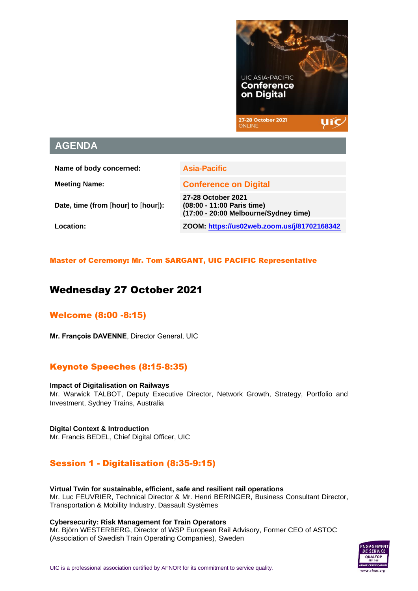

# **AGENDA**

**Name of body concerned: Asia-Pacific**

**Date, time (from** [**hour**] **to** [**hour**]**):**

**Meeting Name: Conference on Digital 27-28 October 2021 (08:00 - 11:00 Paris time)**

**(17:00 - 20:00 Melbourne/Sydney time) Location: ZOOM[: https://us02web.zoom.us/j/81702168342](https://us02web.zoom.us/j/81702168342)**

Master of Ceremony: Mr. Tom SARGANT, UIC PACIFIC Representative

# Wednesday 27 October 2021

# Welcome (8:00 -8:15)

**Mr. François DAVENNE**, Director General, UIC

## Keynote Speeches (8:15-8:35)

**Impact of Digitalisation on Railways** Mr. Warwick TALBOT, Deputy Executive Director, Network Growth, Strategy, Portfolio and Investment, Sydney Trains, Australia

**Digital Context & Introduction** Mr. Francis BEDEL, Chief Digital Officer, UIC

# Session 1 - Digitalisation (8:35-9:15)

**Virtual Twin for sustainable, efficient, safe and resilient rail operations** Mr. Luc FEUVRIER, Technical Director & Mr. Henri BERINGER, Business Consultant Director, Transportation & Mobility Industry, Dassault Systèmes

**Cybersecurity: Risk Management for Train Operators**

Mr. Björn WESTERBERG, Director of WSP European Rail Advisory, Former CEO of ASTOC (Association of Swedish Train Operating Companies), Sweden

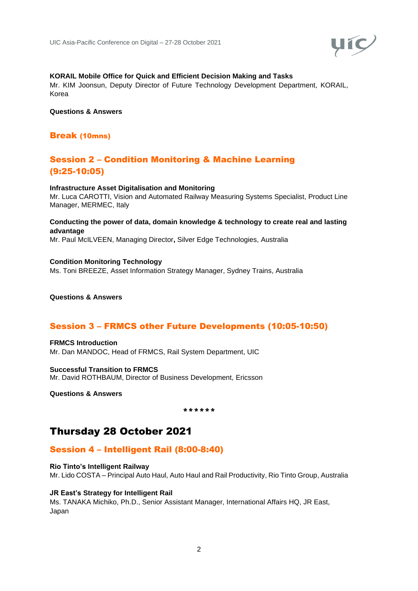

### **KORAIL Mobile Office for Quick and Efficient Decision Making and Tasks**

Mr. KIM Joonsun, Deputy Director of Future Technology Development Department, KORAIL, Korea

**Questions & Answers**

### Break (10mns)

# Session 2 – Condition Monitoring & Machine Learning (9:25-10:05)

#### **Infrastructure Asset Digitalisation and Monitoring**

Mr. Luca CAROTTI, Vision and Automated Railway Measuring Systems Specialist, Product Line Manager, MERMEC, Italy

#### **Conducting the power of data, domain knowledge & technology to create real and lasting advantage**

Mr. Paul McILVEEN, Managing Director**,** Silver Edge Technologies, Australia

#### **Condition Monitoring Technology** Ms. Toni BREEZE, Asset Information Strategy Manager, Sydney Trains, Australia

**Questions & Answers** 

## Session 3 – FRMCS other Future Developments (10:05-10:50)

**FRMCS Introduction** Mr. Dan MANDOC, Head of FRMCS, Rail System Department, UIC

**Successful Transition to FRMCS**  Mr. David ROTHBAUM, Director of Business Development, Ericsson

**Questions & Answers** 

\*\*\*\*\*\*

# Thursday 28 October 2021

### Session 4 – Intelligent Rail (8:00-8:40)

**Rio Tinto's Intelligent Railway** Mr. Lido COSTA – Principal Auto Haul, Auto Haul and Rail Productivity, Rio Tinto Group, Australia

#### **JR East's Strategy for Intelligent Rail**

Ms. TANAKA Michiko, Ph.D., Senior Assistant Manager, International Affairs HQ, JR East, Japan